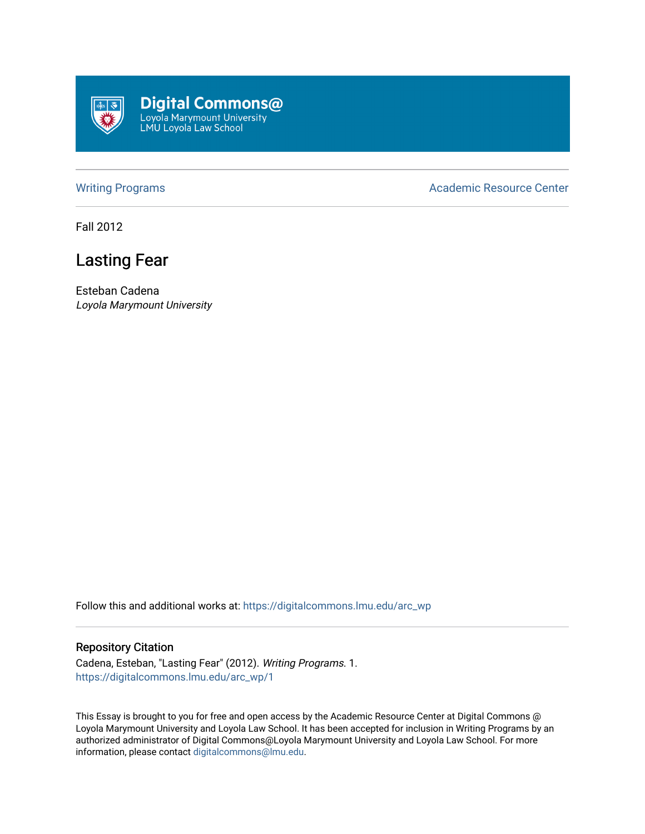

**Digital Commons@**<br>Loyola Marymount University<br>LMU Loyola Law School

[Writing Programs](https://digitalcommons.lmu.edu/arc_wp) **Academic Resource Center** Academic Resource Center

Fall 2012

## Lasting Fear

Esteban Cadena Loyola Marymount University

Follow this and additional works at: [https://digitalcommons.lmu.edu/arc\\_wp](https://digitalcommons.lmu.edu/arc_wp?utm_source=digitalcommons.lmu.edu%2Farc_wp%2F1&utm_medium=PDF&utm_campaign=PDFCoverPages)

## Repository Citation

Cadena, Esteban, "Lasting Fear" (2012). Writing Programs. 1. [https://digitalcommons.lmu.edu/arc\\_wp/1](https://digitalcommons.lmu.edu/arc_wp/1?utm_source=digitalcommons.lmu.edu%2Farc_wp%2F1&utm_medium=PDF&utm_campaign=PDFCoverPages)

This Essay is brought to you for free and open access by the Academic Resource Center at Digital Commons @ Loyola Marymount University and Loyola Law School. It has been accepted for inclusion in Writing Programs by an authorized administrator of Digital Commons@Loyola Marymount University and Loyola Law School. For more information, please contact [digitalcommons@lmu.edu.](mailto:digitalcommons@lmu.edu)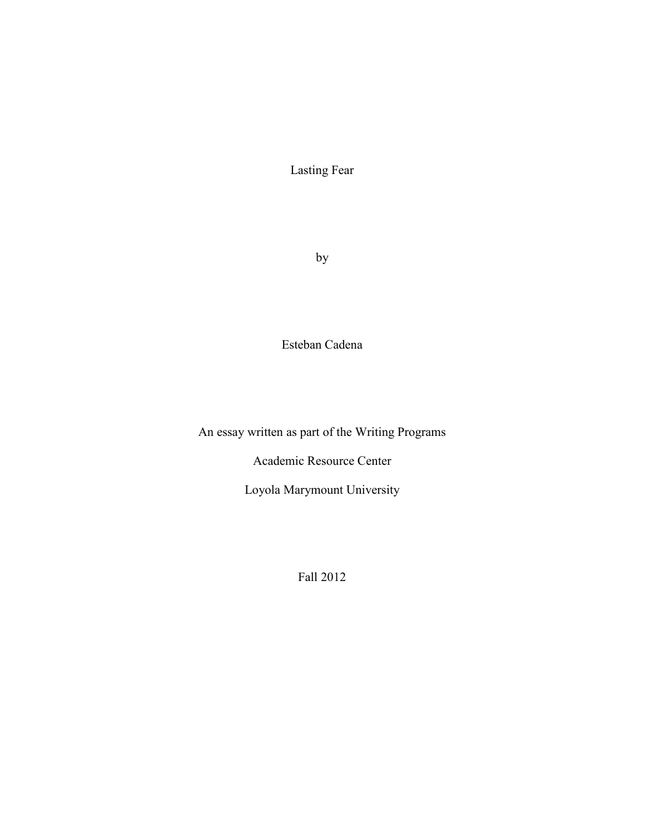Lasting Fear

by

Esteban Cadena

An essay written as part of the Writing Programs

Academic Resource Center

Loyola Marymount University

Fall 2012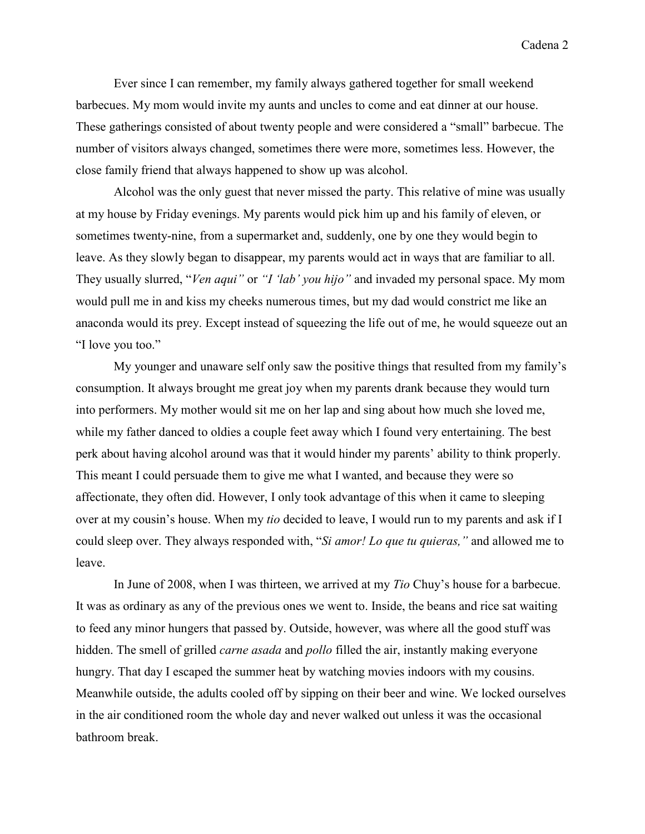Cadena 2

Ever since I can remember, my family always gathered together for small weekend barbecues. My mom would invite my aunts and uncles to come and eat dinner at our house. These gatherings consisted of about twenty people and were considered a "small" barbecue. The number of visitors always changed, sometimes there were more, sometimes less. However, the close family friend that always happened to show up was alcohol.

Alcohol was the only guest that never missed the party. This relative of mine was usually at my house by Friday evenings. My parents would pick him up and his family of eleven, or sometimes twenty-nine, from a supermarket and, suddenly, one by one they would begin to leave. As they slowly began to disappear, my parents would act in ways that are familiar to all. They usually slurred, "*Ven aqui"* or *"I 'lab' you hijo"* and invaded my personal space. My mom would pull me in and kiss my cheeks numerous times, but my dad would constrict me like an anaconda would its prey. Except instead of squeezing the life out of me, he would squeeze out an "I love you too."

My younger and unaware self only saw the positive things that resulted from my family's consumption. It always brought me great joy when my parents drank because they would turn into performers. My mother would sit me on her lap and sing about how much she loved me, while my father danced to oldies a couple feet away which I found very entertaining. The best perk about having alcohol around was that it would hinder my parents' ability to think properly. This meant I could persuade them to give me what I wanted, and because they were so affectionate, they often did. However, I only took advantage of this when it came to sleeping over at my cousin's house. When my *tio* decided to leave, I would run to my parents and ask if I could sleep over. They always responded with, "*Si amor! Lo que tu quieras,"* and allowed me to leave.

In June of 2008, when I was thirteen, we arrived at my *Tio* Chuy's house for a barbecue. It was as ordinary as any of the previous ones we went to. Inside, the beans and rice sat waiting to feed any minor hungers that passed by. Outside, however, was where all the good stuff was hidden. The smell of grilled *carne asada* and *pollo* filled the air, instantly making everyone hungry. That day I escaped the summer heat by watching movies indoors with my cousins. Meanwhile outside, the adults cooled off by sipping on their beer and wine. We locked ourselves in the air conditioned room the whole day and never walked out unless it was the occasional bathroom break.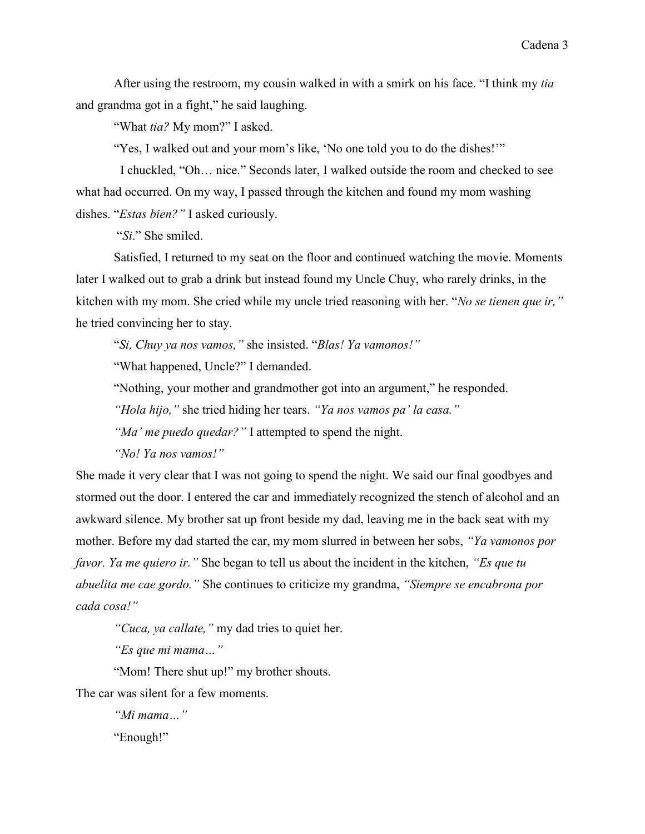After using the restroom, my cousin walked in with a smirk on his face. "I think my *tia* and grandma got in a fight," he said laughing.

"What *tia?* My mom?" I asked.

"Yes, I walked out and your mom's like, 'No one told you to do the dishes!'"

I chuckled, "Oh… nice." Seconds later, I walked outside the room and checked to see what had occurred. On my way, I passed through the kitchen and found my mom washing dishes. "*Estas bien?"* I asked curiously.

"*Si*." She smiled.

Satisfied, I returned to my seat on the floor and continued watching the movie. Moments later I walked out to grab a drink but instead found my Uncle Chuy, who rarely drinks, in the kitchen with my mom. She cried while my uncle tried reasoning with her. "*No se tienen que ir,"* he tried convincing her to stay.

"*Si, Chuy ya nos vamos,"* she insisted. "*Blas! Ya vamonos!"*

"What happened, Uncle?" I demanded.

"Nothing, your mother and grandmother got into an argument," he responded.

*"Hola hijo,"* she tried hiding her tears. *"Ya nos vamos pa' la casa."*

*"Ma' me puedo quedar?"* I attempted to spend the night.

*"No! Ya nos vamos!"*

She made it very clear that I was not going to spend the night. We said our final goodbyes and stormed out the door. I entered the car and immediately recognized the stench of alcohol and an awkward silence. My brother sat up front beside my dad, leaving me in the back seat with my mother. Before my dad started the car, my mom slurred in between her sobs, *"Ya vamonos por favor. Ya me quiero ir."* She began to tell us about the incident in the kitchen, *"Es que tu abuelita me cae gordo."* She continues to criticize my grandma, *"Siempre se encabrona por cada cosa!"* 

*"Cuca, ya callate,"* my dad tries to quiet her.

*"Es que mi mama…"*

"Mom! There shut up!" my brother shouts.

The car was silent for a few moments.

*"Mi mama…"* "Enough!"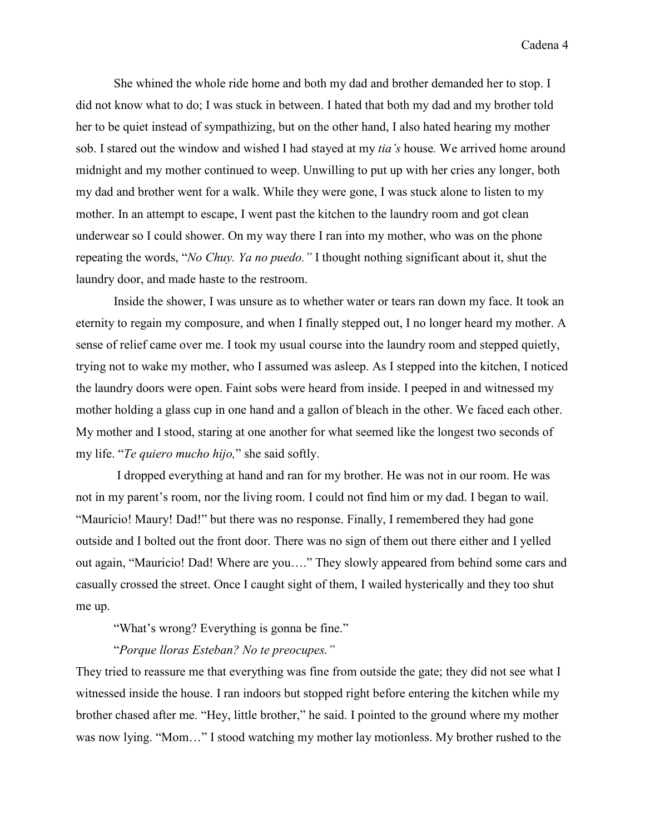She whined the whole ride home and both my dad and brother demanded her to stop. I did not know what to do; I was stuck in between. I hated that both my dad and my brother told her to be quiet instead of sympathizing, but on the other hand, I also hated hearing my mother sob. I stared out the window and wished I had stayed at my *tia's* house*.* We arrived home around midnight and my mother continued to weep. Unwilling to put up with her cries any longer, both my dad and brother went for a walk. While they were gone, I was stuck alone to listen to my mother. In an attempt to escape, I went past the kitchen to the laundry room and got clean underwear so I could shower. On my way there I ran into my mother, who was on the phone repeating the words, "*No Chuy. Ya no puedo."* I thought nothing significant about it, shut the laundry door, and made haste to the restroom.

Inside the shower, I was unsure as to whether water or tears ran down my face. It took an eternity to regain my composure, and when I finally stepped out, I no longer heard my mother. A sense of relief came over me. I took my usual course into the laundry room and stepped quietly, trying not to wake my mother, who I assumed was asleep. As I stepped into the kitchen, I noticed the laundry doors were open. Faint sobs were heard from inside. I peeped in and witnessed my mother holding a glass cup in one hand and a gallon of bleach in the other. We faced each other. My mother and I stood, staring at one another for what seemed like the longest two seconds of my life. "*Te quiero mucho hijo,*" she said softly.

I dropped everything at hand and ran for my brother. He was not in our room. He was not in my parent's room, nor the living room. I could not find him or my dad. I began to wail. "Mauricio! Maury! Dad!" but there was no response. Finally, I remembered they had gone outside and I bolted out the front door. There was no sign of them out there either and I yelled out again, "Mauricio! Dad! Where are you…." They slowly appeared from behind some cars and casually crossed the street. Once I caught sight of them, I wailed hysterically and they too shut me up.

"What's wrong? Everything is gonna be fine."

"*Porque lloras Esteban? No te preocupes."*

They tried to reassure me that everything was fine from outside the gate; they did not see what I witnessed inside the house. I ran indoors but stopped right before entering the kitchen while my brother chased after me. "Hey, little brother," he said. I pointed to the ground where my mother was now lying. "Mom…" I stood watching my mother lay motionless. My brother rushed to the